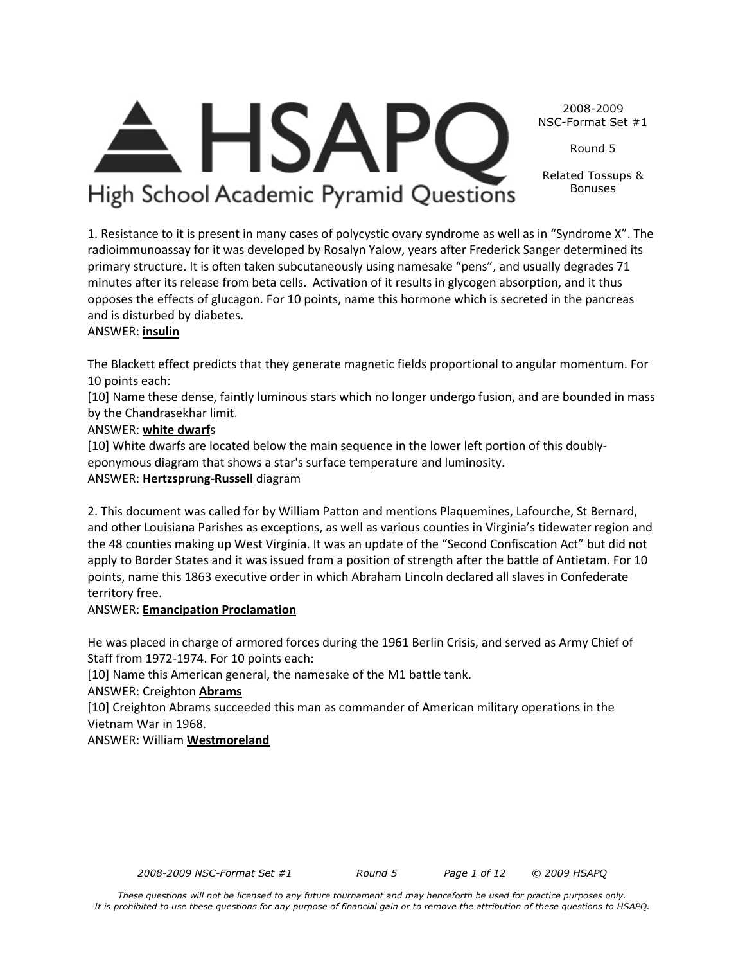*These questions will not be licensed to any future tournament and may henceforth be used for practice purposes only. It is prohibited to use these questions for any purpose of financial gain or to remove the attribution of these questions to HSAPQ.*

*2008-2009 NSC-Format Set #1 Round 5 Page 1 of 12 © 2009 HSAPQ* 

1. Resistance to it is present in many cases of polycystic ovary syndrome as well as in "Syndrome X". The radioimmunoassay for it was developed by Rosalyn Yalow, years after Frederick Sanger determined its primary structure. It is often taken subcutaneously using namesake "pens", and usually degrades 71 minutes after its release from beta cells. Activation of it results in glycogen absorption, and it thus opposes the effects of glucagon. For 10 points, name this hormone which is secreted in the pancreas and is disturbed by diabetes.

**HSAP** 

High School Academic Pyramid Questions

#### ANSWER: **insulin**

The Blackett effect predicts that they generate magnetic fields proportional to angular momentum. For 10 points each:

[10] Name these dense, faintly luminous stars which no longer undergo fusion, and are bounded in mass by the Chandrasekhar limit.

#### ANSWER: **white dwarf**s

[10] White dwarfs are located below the main sequence in the lower left portion of this doublyeponymous diagram that shows a star's surface temperature and luminosity.

#### ANSWER: **Hertzsprung-Russell** diagram

2. This document was called for by William Patton and mentions Plaquemines, Lafourche, St Bernard, and other Louisiana Parishes as exceptions, as well as various counties in Virginia's tidewater region and the 48 counties making up West Virginia. It was an update of the "Second Confiscation Act" but did not apply to Border States and it was issued from a position of strength after the battle of Antietam. For 10 points, name this 1863 executive order in which Abraham Lincoln declared all slaves in Confederate territory free.

#### ANSWER: **Emancipation Proclamation**

He was placed in charge of armored forces during the 1961 Berlin Crisis, and served as Army Chief of Staff from 1972-1974. For 10 points each:

[10] Name this American general, the namesake of the M1 battle tank.

### ANSWER: Creighton **Abrams**

[10] Creighton Abrams succeeded this man as commander of American military operations in the Vietnam War in 1968.

ANSWER: William **Westmoreland**

2008-2009 NSC-Format Set #1

Round 5

Related Tossups & Bonuses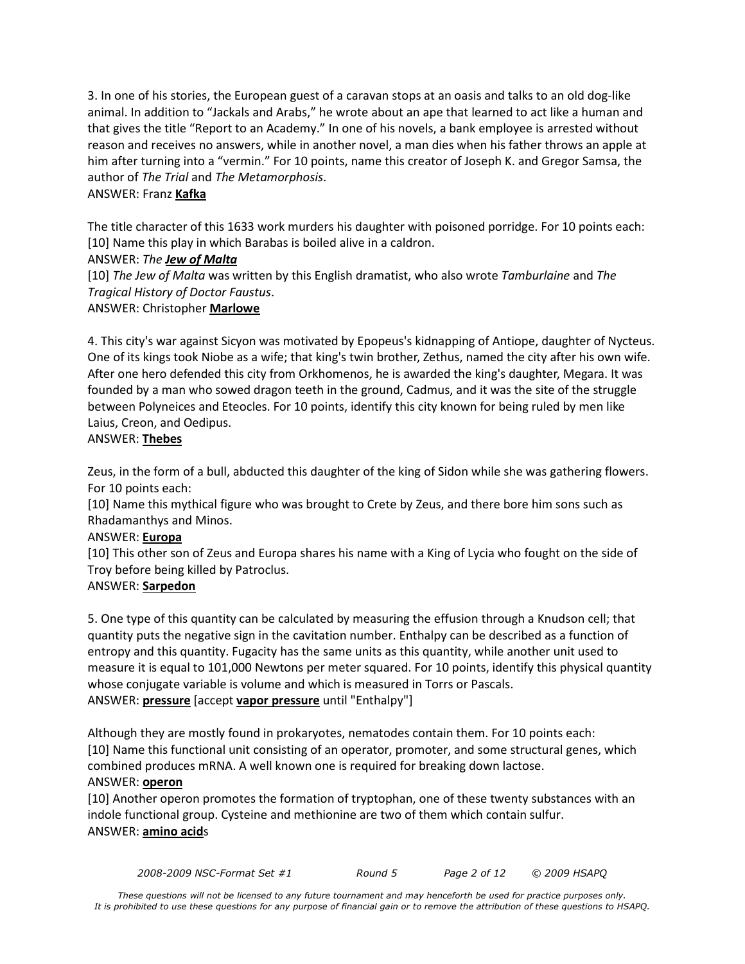3. In one of his stories, the European guest of a caravan stops at an oasis and talks to an old dog-like animal. In addition to "Jackals and Arabs," he wrote about an ape that learned to act like a human and that gives the title "Report to an Academy." In one of his novels, a bank employee is arrested without reason and receives no answers, while in another novel, a man dies when his father throws an apple at him after turning into a "vermin." For 10 points, name this creator of Joseph K. and Gregor Samsa, the author of *The Trial* and *The Metamorphosis*.

#### ANSWER: Franz **Kafka**

The title character of this 1633 work murders his daughter with poisoned porridge. For 10 points each: [10] Name this play in which Barabas is boiled alive in a caldron.

#### ANSWER: *The Jew of Malta*

[10] *The Jew of Malta* was written by this English dramatist, who also wrote *Tamburlaine* and *The Tragical History of Doctor Faustus*.

#### ANSWER: Christopher **Marlowe**

4. This city's war against Sicyon was motivated by Epopeus's kidnapping of Antiope, daughter of Nycteus. One of its kings took Niobe as a wife; that king's twin brother, Zethus, named the city after his own wife. After one hero defended this city from Orkhomenos, he is awarded the king's daughter, Megara. It was founded by a man who sowed dragon teeth in the ground, Cadmus, and it was the site of the struggle between Polyneices and Eteocles. For 10 points, identify this city known for being ruled by men like Laius, Creon, and Oedipus.

#### ANSWER: **Thebes**

Zeus, in the form of a bull, abducted this daughter of the king of Sidon while she was gathering flowers. For 10 points each:

[10] Name this mythical figure who was brought to Crete by Zeus, and there bore him sons such as Rhadamanthys and Minos.

#### ANSWER: **Europa**

[10] This other son of Zeus and Europa shares his name with a King of Lycia who fought on the side of Troy before being killed by Patroclus.

#### ANSWER: **Sarpedon**

5. One type of this quantity can be calculated by measuring the effusion through a Knudson cell; that quantity puts the negative sign in the cavitation number. Enthalpy can be described as a function of entropy and this quantity. Fugacity has the same units as this quantity, while another unit used to measure it is equal to 101,000 Newtons per meter squared. For 10 points, identify this physical quantity whose conjugate variable is volume and which is measured in Torrs or Pascals. ANSWER: **pressure** [accept **vapor pressure** until "Enthalpy"]

Although they are mostly found in prokaryotes, nematodes contain them. For 10 points each: [10] Name this functional unit consisting of an operator, promoter, and some structural genes, which combined produces mRNA. A well known one is required for breaking down lactose. ANSWER: **operon**

[10] Another operon promotes the formation of tryptophan, one of these twenty substances with an indole functional group. Cysteine and methionine are two of them which contain sulfur. ANSWER: **amino acid**s

*2008-2009 NSC-Format Set #1 Round 5 Page 2 of 12 © 2009 HSAPQ*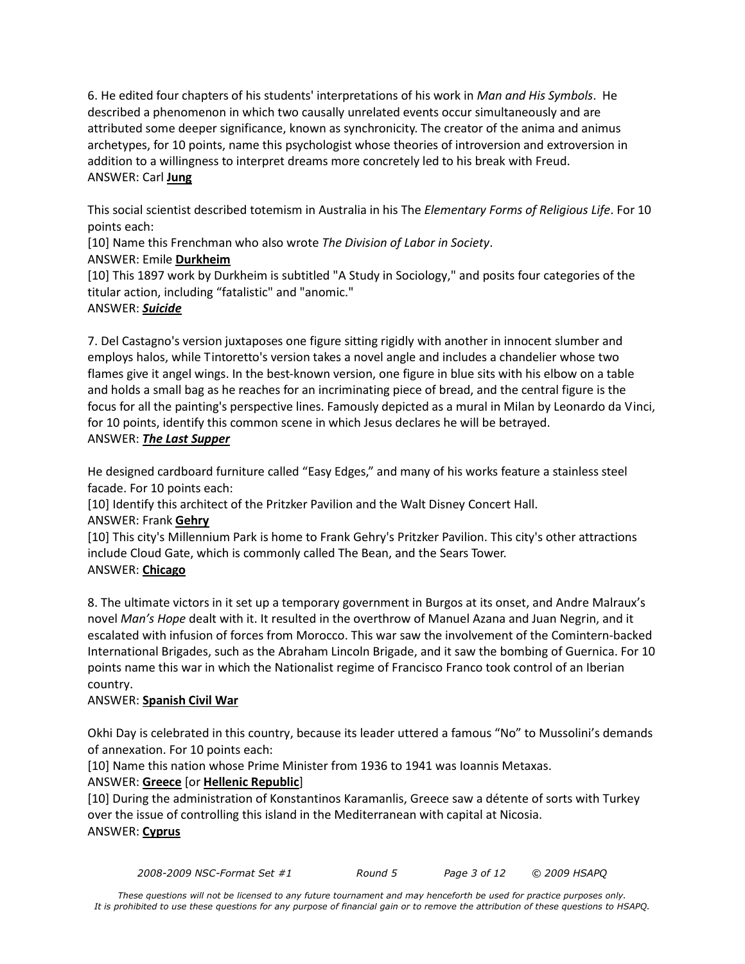6. He edited four chapters of his students' interpretations of his work in *Man and His Symbols*. He described a phenomenon in which two causally unrelated events occur simultaneously and are attributed some deeper significance, known as synchronicity. The creator of the anima and animus archetypes, for 10 points, name this psychologist whose theories of introversion and extroversion in addition to a willingness to interpret dreams more concretely led to his break with Freud. ANSWER: Carl **Jung**

This social scientist described totemism in Australia in his The *Elementary Forms of Religious Life*. For 10 points each:

[10] Name this Frenchman who also wrote *The Division of Labor in Society*.

ANSWER: Emile **Durkheim**

[10] This 1897 work by Durkheim is subtitled "A Study in Sociology," and posits four categories of the titular action, including "fatalistic" and "anomic."

#### ANSWER: *Suicide*

7. Del Castagno's version juxtaposes one figure sitting rigidly with another in innocent slumber and employs halos, while Tintoretto's version takes a novel angle and includes a chandelier whose two flames give it angel wings. In the best-known version, one figure in blue sits with his elbow on a table and holds a small bag as he reaches for an incriminating piece of bread, and the central figure is the focus for all the painting's perspective lines. Famously depicted as a mural in Milan by Leonardo da Vinci, for 10 points, identify this common scene in which Jesus declares he will be betrayed. ANSWER: *The Last Supper*

He designed cardboard furniture called "Easy Edges," and many of his works feature a stainless steel facade. For 10 points each:

[10] Identify this architect of the Pritzker Pavilion and the Walt Disney Concert Hall.

#### ANSWER: Frank **Gehry**

[10] This city's Millennium Park is home to Frank Gehry's Pritzker Pavilion. This city's other attractions include Cloud Gate, which is commonly called The Bean, and the Sears Tower. ANSWER: **Chicago**

8. The ultimate victors in it set up a temporary government in Burgos at its onset, and Andre Malraux's novel *Man's Hope* dealt with it. It resulted in the overthrow of Manuel Azana and Juan Negrin, and it escalated with infusion of forces from Morocco. This war saw the involvement of the Comintern-backed International Brigades, such as the Abraham Lincoln Brigade, and it saw the bombing of Guernica. For 10 points name this war in which the Nationalist regime of Francisco Franco took control of an Iberian country.

#### ANSWER: **Spanish Civil War**

Okhi Day is celebrated in this country, because its leader uttered a famous "No" to Mussolini's demands of annexation. For 10 points each:

[10] Name this nation whose Prime Minister from 1936 to 1941 was Ioannis Metaxas.

#### ANSWER: **Greece** [or **Hellenic Republic**]

[10] During the administration of Konstantinos Karamanlis, Greece saw a détente of sorts with Turkey over the issue of controlling this island in the Mediterranean with capital at Nicosia. ANSWER: **Cyprus**

*2008-2009 NSC-Format Set #1 Round 5 Page 3 of 12 © 2009 HSAPQ*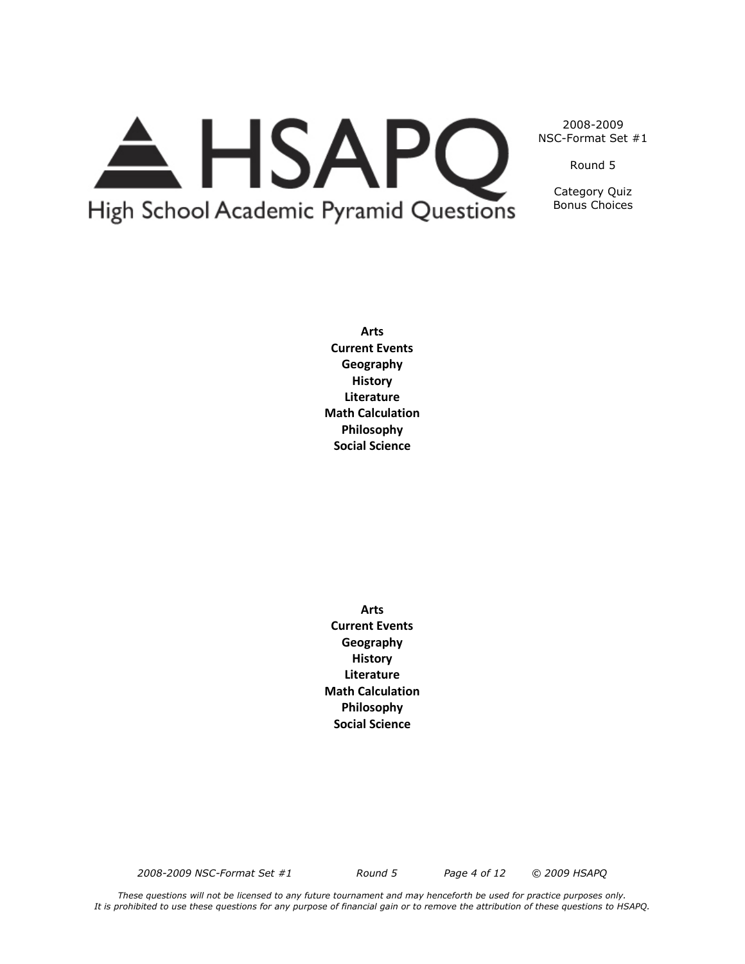# A HSAPQ High School Academic Pyramid Questions

2008-2009 NSC-Format Set #1

Round 5

Category Quiz Bonus Choices

**Arts Current Events Geography History Literature Math Calculation Philosophy Social Science**

**Arts Current Events Geography History Literature Math Calculation Philosophy Social Science**

*2008-2009 NSC-Format Set #1 Round 5 Page 4 of 12 © 2009 HSAPQ*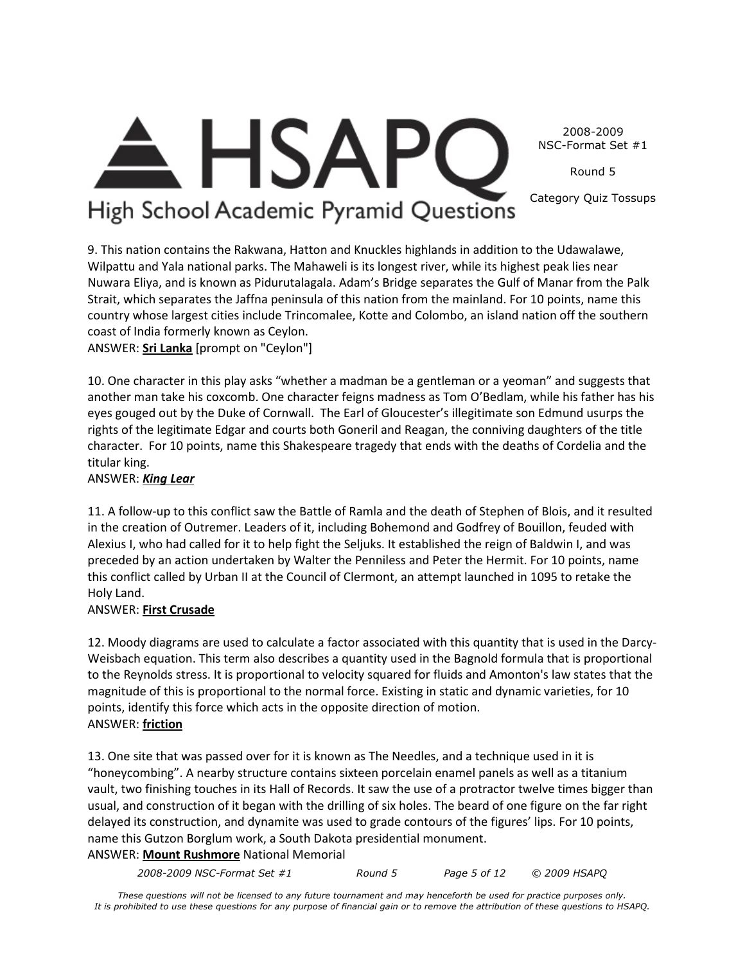2008-2009 NSC-Format Set #1

Round 5

Category Quiz Tossups

### $\triangle$  HSAPC High School Academic Pyramid Questions

9. This nation contains the Rakwana, Hatton and Knuckles highlands in addition to the Udawalawe, Wilpattu and Yala national parks. The Mahaweli is its longest river, while its highest peak lies near Nuwara Eliya, and is known as Pidurutalagala. Adam's Bridge separates the Gulf of Manar from the Palk Strait, which separates the Jaffna peninsula of this nation from the mainland. For 10 points, name this country whose largest cities include Trincomalee, Kotte and Colombo, an island nation off the southern coast of India formerly known as Ceylon.

ANSWER: **Sri Lanka** [prompt on "Ceylon"]

10. One character in this play asks "whether a madman be a gentleman or a yeoman" and suggests that another man take his coxcomb. One character feigns madness as Tom O'Bedlam, while his father has his eyes gouged out by the Duke of Cornwall. The Earl of Gloucester's illegitimate son Edmund usurps the rights of the legitimate Edgar and courts both Goneril and Reagan, the conniving daughters of the title character. For 10 points, name this Shakespeare tragedy that ends with the deaths of Cordelia and the titular king.

#### ANSWER: *King Lear*

11. A follow-up to this conflict saw the Battle of Ramla and the death of Stephen of Blois, and it resulted in the creation of Outremer. Leaders of it, including Bohemond and Godfrey of Bouillon, feuded with Alexius I, who had called for it to help fight the Seljuks. It established the reign of Baldwin I, and was preceded by an action undertaken by Walter the Penniless and Peter the Hermit. For 10 points, name this conflict called by Urban II at the Council of Clermont, an attempt launched in 1095 to retake the Holy Land.

### ANSWER: **First Crusade**

12. Moody diagrams are used to calculate a factor associated with this quantity that is used in the Darcy-Weisbach equation. This term also describes a quantity used in the Bagnold formula that is proportional to the Reynolds stress. It is proportional to velocity squared for fluids and Amonton's law states that the magnitude of this is proportional to the normal force. Existing in static and dynamic varieties, for 10 points, identify this force which acts in the opposite direction of motion. ANSWER: **friction**

13. One site that was passed over for it is known as The Needles, and a technique used in it is "honeycombing". A nearby structure contains sixteen porcelain enamel panels as well as a titanium vault, two finishing touches in its Hall of Records. It saw the use of a protractor twelve times bigger than usual, and construction of it began with the drilling of six holes. The beard of one figure on the far right delayed its construction, and dynamite was used to grade contours of the figures' lips. For 10 points, name this Gutzon Borglum work, a South Dakota presidential monument.

ANSWER: **Mount Rushmore** National Memorial

*2008-2009 NSC-Format Set #1 Round 5 Page 5 of 12 © 2009 HSAPQ*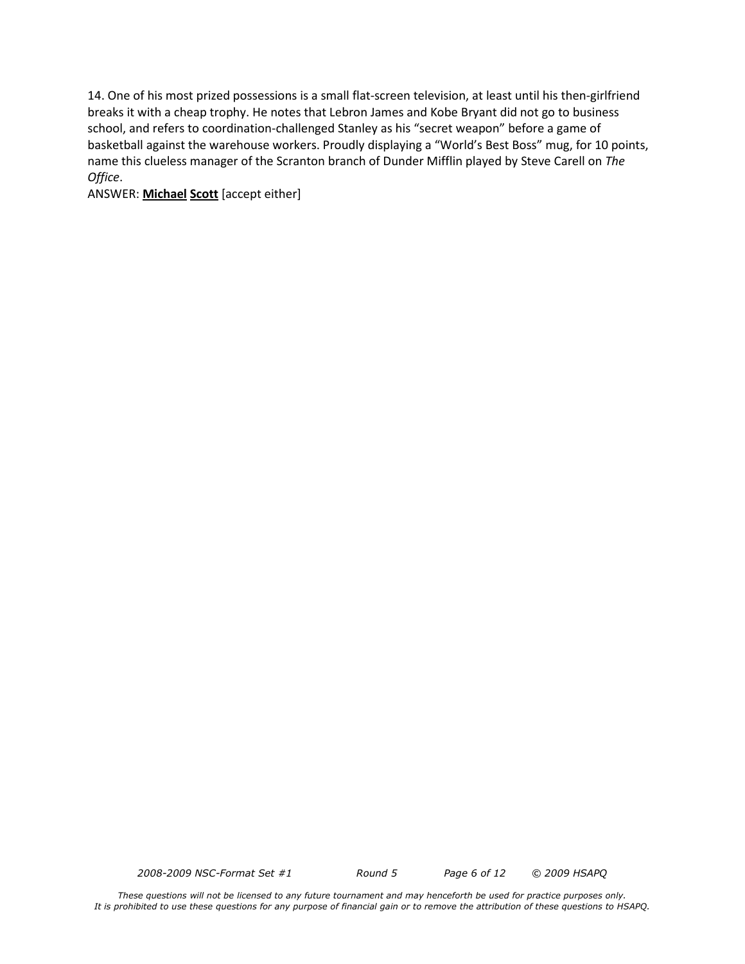14. One of his most prized possessions is a small flat-screen television, at least until his then-girlfriend breaks it with a cheap trophy. He notes that Lebron James and Kobe Bryant did not go to business school, and refers to coordination-challenged Stanley as his "secret weapon" before a game of basketball against the warehouse workers. Proudly displaying a "World's Best Boss" mug, for 10 points, name this clueless manager of the Scranton branch of Dunder Mifflin played by Steve Carell on *The Office*.

ANSWER: **Michael Scott** [accept either]

*2008-2009 NSC-Format Set #1 Round 5 Page 6 of 12 © 2009 HSAPQ*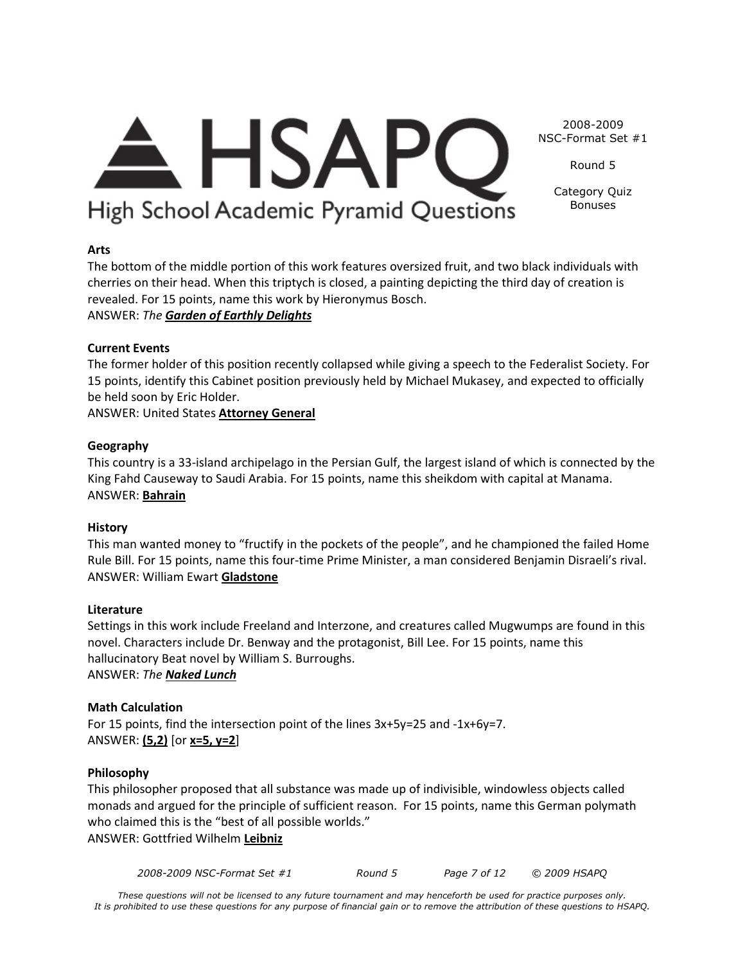## $\triangle$  HSAPC High School Academic Pyramid Questions

NSC-Format Set #1 Round 5

2008-2009

Category Quiz Bonuses

#### **Arts**

The bottom of the middle portion of this work features oversized fruit, and two black individuals with cherries on their head. When this triptych is closed, a painting depicting the third day of creation is revealed. For 15 points, name this work by Hieronymus Bosch. ANSWER: *The Garden of Earthly Delights*

#### **Current Events**

The former holder of this position recently collapsed while giving a speech to the Federalist Society. For 15 points, identify this Cabinet position previously held by Michael Mukasey, and expected to officially be held soon by Eric Holder.

ANSWER: United States **Attorney General**

#### **Geography**

This country is a 33-island archipelago in the Persian Gulf, the largest island of which is connected by the King Fahd Causeway to Saudi Arabia. For 15 points, name this sheikdom with capital at Manama. ANSWER: **Bahrain**

#### **History**

This man wanted money to "fructify in the pockets of the people", and he championed the failed Home Rule Bill. For 15 points, name this four-time Prime Minister, a man considered Benjamin Disraeli's rival. ANSWER: William Ewart **Gladstone**

#### **Literature**

Settings in this work include Freeland and Interzone, and creatures called Mugwumps are found in this novel. Characters include Dr. Benway and the protagonist, Bill Lee. For 15 points, name this hallucinatory Beat novel by William S. Burroughs. ANSWER: *The Naked Lunch*

#### **Math Calculation**

For 15 points, find the intersection point of the lines 3x+5y=25 and -1x+6y=7. ANSWER: **(5,2)** [or **x=5, y=2**]

#### **Philosophy**

This philosopher proposed that all substance was made up of indivisible, windowless objects called monads and argued for the principle of sufficient reason. For 15 points, name this German polymath who claimed this is the "best of all possible worlds." ANSWER: Gottfried Wilhelm **Leibniz**

*2008-2009 NSC-Format Set #1 Round 5 Page 7 of 12 © 2009 HSAPQ*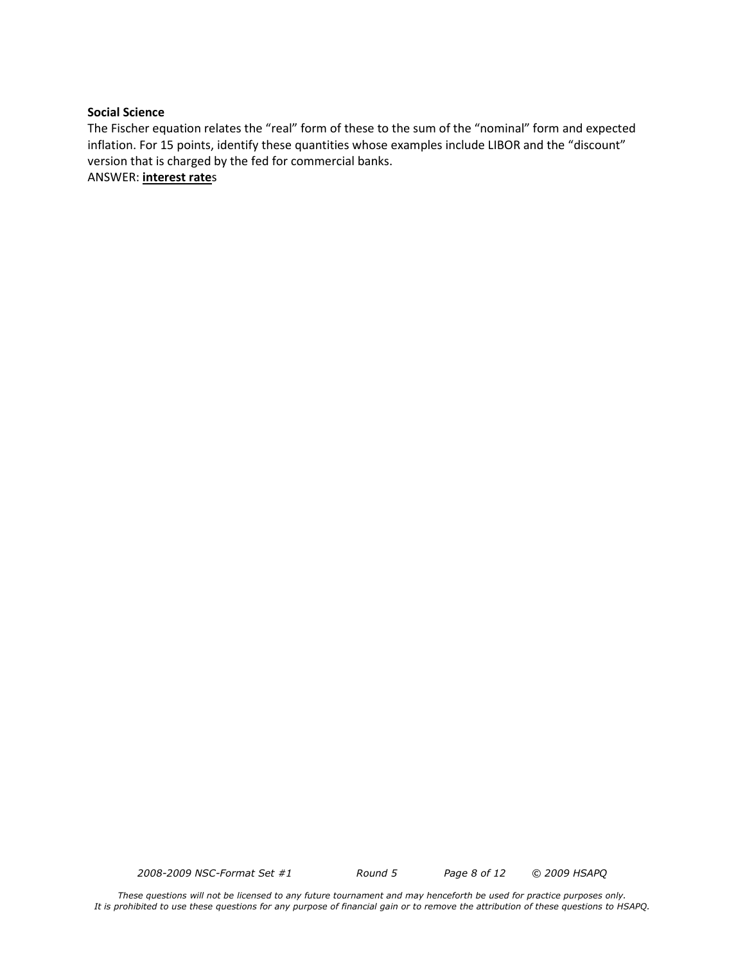#### **Social Science**

The Fischer equation relates the "real" form of these to the sum of the "nominal" form and expected inflation. For 15 points, identify these quantities whose examples include LIBOR and the "discount" version that is charged by the fed for commercial banks.

ANSWER: **interest rate**s

*2008-2009 NSC-Format Set #1 Round 5 Page 8 of 12 © 2009 HSAPQ*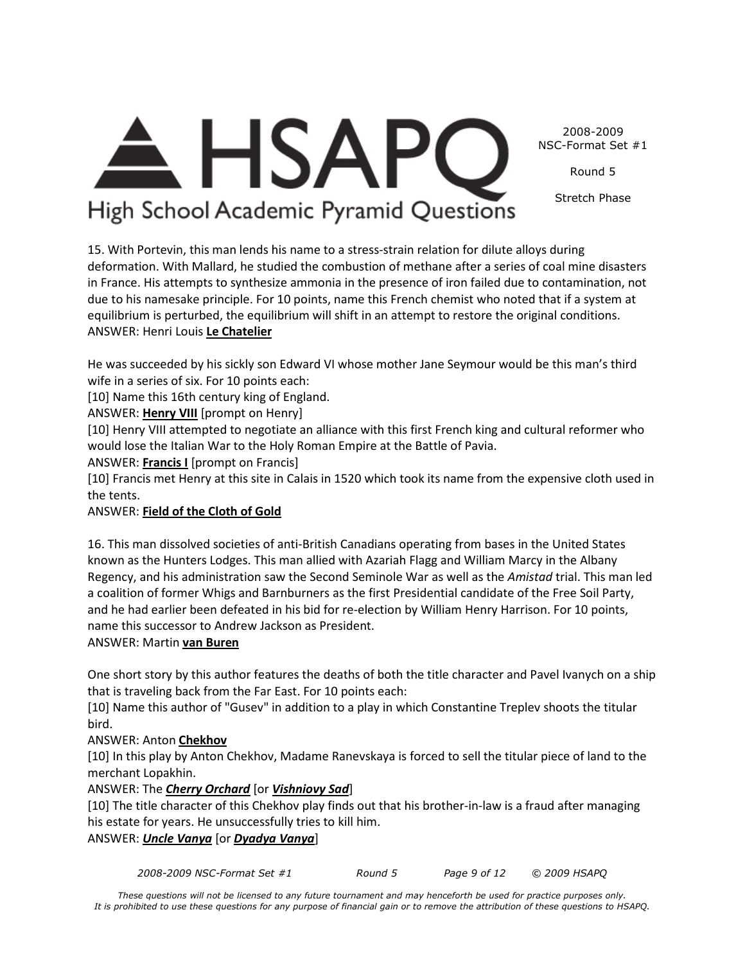2008-2009 NSC-Format Set #1

Round 5

Stretch Phase

### <del>A</del> HSAPC High School Academic Pyramid Questions

15. With Portevin, this man lends his name to a stress-strain relation for dilute alloys during deformation. With Mallard, he studied the combustion of methane after a series of coal mine disasters in France. His attempts to synthesize ammonia in the presence of iron failed due to contamination, not due to his namesake principle. For 10 points, name this French chemist who noted that if a system at equilibrium is perturbed, the equilibrium will shift in an attempt to restore the original conditions. ANSWER: Henri Louis **Le Chatelier**

He was succeeded by his sickly son Edward VI whose mother Jane Seymour would be this man's third wife in a series of six. For 10 points each:

[10] Name this 16th century king of England.

ANSWER: **Henry VIII** [prompt on Henry]

[10] Henry VIII attempted to negotiate an alliance with this first French king and cultural reformer who would lose the Italian War to the Holy Roman Empire at the Battle of Pavia.

ANSWER: **Francis I** [prompt on Francis]

[10] Francis met Henry at this site in Calais in 1520 which took its name from the expensive cloth used in the tents.

### ANSWER: **Field of the Cloth of Gold**

16. This man dissolved societies of anti-British Canadians operating from bases in the United States known as the Hunters Lodges. This man allied with Azariah Flagg and William Marcy in the Albany Regency, and his administration saw the Second Seminole War as well as the *Amistad* trial. This man led a coalition of former Whigs and Barnburners as the first Presidential candidate of the Free Soil Party, and he had earlier been defeated in his bid for re-election by William Henry Harrison. For 10 points, name this successor to Andrew Jackson as President.

### ANSWER: Martin **van Buren**

One short story by this author features the deaths of both the title character and Pavel Ivanych on a ship that is traveling back from the Far East. For 10 points each:

[10] Name this author of "Gusev" in addition to a play in which Constantine Treplev shoots the titular bird.

### ANSWER: Anton **Chekhov**

[10] In this play by Anton Chekhov, Madame Ranevskaya is forced to sell the titular piece of land to the merchant Lopakhin.

#### ANSWER: The *Cherry Orchard* [or *Vishniovy Sad*]

[10] The title character of this Chekhov play finds out that his brother-in-law is a fraud after managing his estate for years. He unsuccessfully tries to kill him.

#### ANSWER: *Uncle Vanya* [or *Dyadya Vanya*]

*2008-2009 NSC-Format Set #1 Round 5 Page 9 of 12 © 2009 HSAPQ*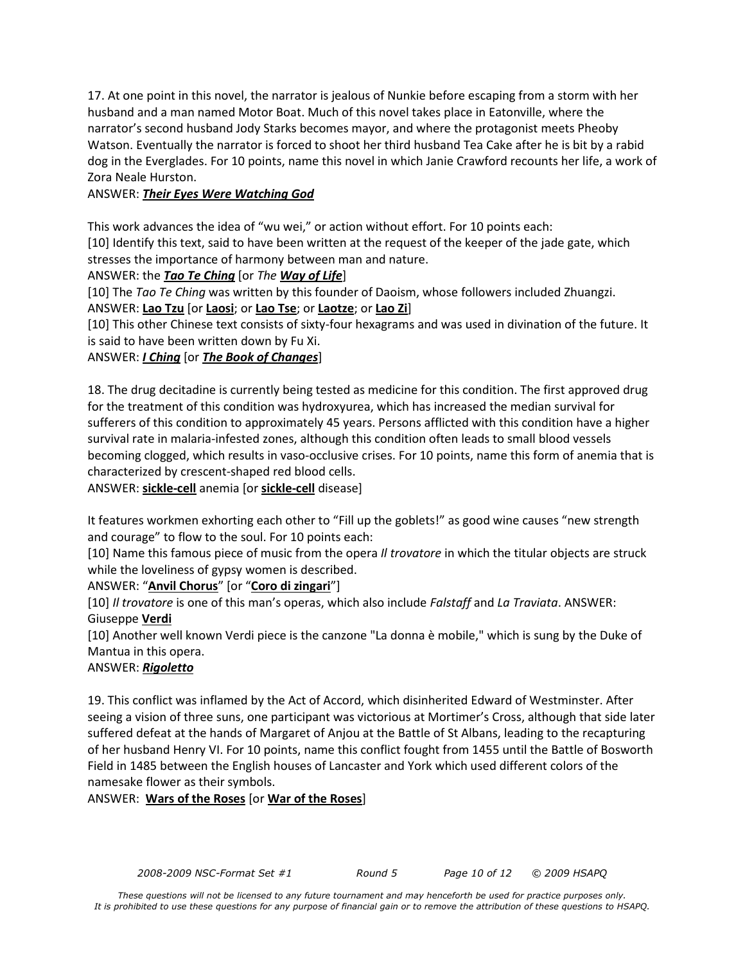17. At one point in this novel, the narrator is jealous of Nunkie before escaping from a storm with her husband and a man named Motor Boat. Much of this novel takes place in Eatonville, where the narrator's second husband Jody Starks becomes mayor, and where the protagonist meets Pheoby Watson. Eventually the narrator is forced to shoot her third husband Tea Cake after he is bit by a rabid dog in the Everglades. For 10 points, name this novel in which Janie Crawford recounts her life, a work of Zora Neale Hurston.

#### ANSWER: *Their Eyes Were Watching God*

This work advances the idea of "wu wei," or action without effort. For 10 points each:

[10] Identify this text, said to have been written at the request of the keeper of the jade gate, which stresses the importance of harmony between man and nature.

#### ANSWER: the *Tao Te Ching* [or *The Way of Life*]

[10] The *Tao Te Ching* was written by this founder of Daoism, whose followers included Zhuangzi.

ANSWER: **Lao Tzu** [or **Laosi**; or **Lao Tse**; or **Laotze**; or **Lao Zi**]

[10] This other Chinese text consists of sixty-four hexagrams and was used in divination of the future. It is said to have been written down by Fu Xi.

#### ANSWER: *I Ching* [or *The Book of Changes*]

18. The drug decitadine is currently being tested as medicine for this condition. The first approved drug for the treatment of this condition was hydroxyurea, which has increased the median survival for sufferers of this condition to approximately 45 years. Persons afflicted with this condition have a higher survival rate in malaria-infested zones, although this condition often leads to small blood vessels becoming clogged, which results in vaso-occlusive crises. For 10 points, name this form of anemia that is characterized by crescent-shaped red blood cells.

ANSWER: **sickle-cell** anemia [or **sickle-cell** disease]

It features workmen exhorting each other to "Fill up the goblets!" as good wine causes "new strength and courage" to flow to the soul. For 10 points each:

[10] Name this famous piece of music from the opera *Il trovatore* in which the titular objects are struck while the loveliness of gypsy women is described.

#### ANSWER: "**Anvil Chorus**" [or "**Coro di zingari**"]

[10] *Il trovatore* is one of this man's operas, which also include *Falstaff* and *La Traviata*. ANSWER: Giuseppe **Verdi**

[10] Another well known Verdi piece is the canzone "La donna è mobile," which is sung by the Duke of Mantua in this opera.

#### ANSWER: *Rigoletto*

19. This conflict was inflamed by the Act of Accord, which disinherited Edward of Westminster. After seeing a vision of three suns, one participant was victorious at Mortimer's Cross, although that side later suffered defeat at the hands of Margaret of Anjou at the Battle of St Albans, leading to the recapturing of her husband Henry VI. For 10 points, name this conflict fought from 1455 until the Battle of Bosworth Field in 1485 between the English houses of Lancaster and York which used different colors of the namesake flower as their symbols.

#### ANSWER: **Wars of the Roses** [or **War of the Roses**]

*2008-2009 NSC-Format Set #1 Round 5 Page 10 of 12 © 2009 HSAPQ*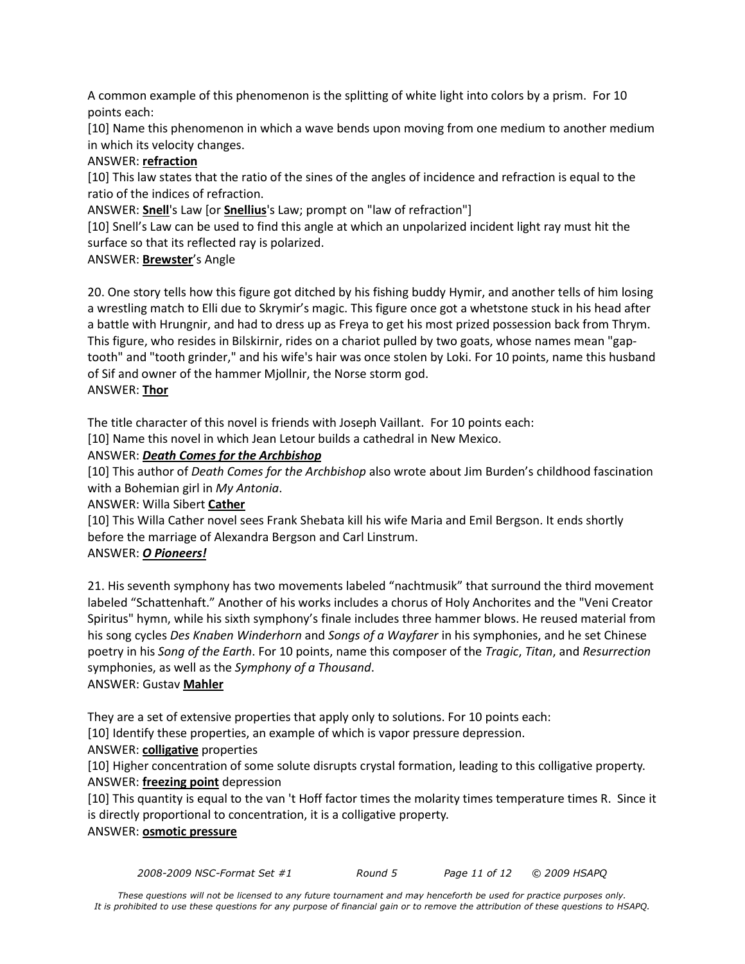A common example of this phenomenon is the splitting of white light into colors by a prism. For 10 points each:

[10] Name this phenomenon in which a wave bends upon moving from one medium to another medium in which its velocity changes.

#### ANSWER: **refraction**

[10] This law states that the ratio of the sines of the angles of incidence and refraction is equal to the ratio of the indices of refraction.

ANSWER: **Snell**'s Law [or **Snellius**'s Law; prompt on "law of refraction"]

[10] Snell's Law can be used to find this angle at which an unpolarized incident light ray must hit the surface so that its reflected ray is polarized.

#### ANSWER: **Brewster**'s Angle

20. One story tells how this figure got ditched by his fishing buddy Hymir, and another tells of him losing a wrestling match to Elli due to Skrymir's magic. This figure once got a whetstone stuck in his head after a battle with Hrungnir, and had to dress up as Freya to get his most prized possession back from Thrym. This figure, who resides in Bilskirnir, rides on a chariot pulled by two goats, whose names mean "gaptooth" and "tooth grinder," and his wife's hair was once stolen by Loki. For 10 points, name this husband of Sif and owner of the hammer Mjollnir, the Norse storm god. ANSWER: **Thor**

The title character of this novel is friends with Joseph Vaillant. For 10 points each:

[10] Name this novel in which Jean Letour builds a cathedral in New Mexico.

#### ANSWER: *Death Comes for the Archbishop*

[10] This author of *Death Comes for the Archbishop* also wrote about Jim Burden's childhood fascination with a Bohemian girl in *My Antonia*.

ANSWER: Willa Sibert **Cather**

[10] This Willa Cather novel sees Frank Shebata kill his wife Maria and Emil Bergson. It ends shortly before the marriage of Alexandra Bergson and Carl Linstrum.

#### ANSWER: *O Pioneers!*

21. His seventh symphony has two movements labeled "nachtmusik" that surround the third movement labeled "Schattenhaft." Another of his works includes a chorus of Holy Anchorites and the "Veni Creator Spiritus" hymn, while his sixth symphony's finale includes three hammer blows. He reused material from his song cycles *Des Knaben Winderhorn* and *Songs of a Wayfarer* in his symphonies, and he set Chinese poetry in his *Song of the Earth*. For 10 points, name this composer of the *Tragic*, *Titan*, and *Resurrection* symphonies, as well as the *Symphony of a Thousand*. ANSWER: Gustav **Mahler**

They are a set of extensive properties that apply only to solutions. For 10 points each:

[10] Identify these properties, an example of which is vapor pressure depression.

#### ANSWER: **colligative** properties

[10] Higher concentration of some solute disrupts crystal formation, leading to this colligative property. ANSWER: **freezing point** depression

[10] This quantity is equal to the van 't Hoff factor times the molarity times temperature times R. Since it is directly proportional to concentration, it is a colligative property.

#### ANSWER: **osmotic pressure**

*2008-2009 NSC-Format Set #1 Round 5 Page 11 of 12 © 2009 HSAPQ*